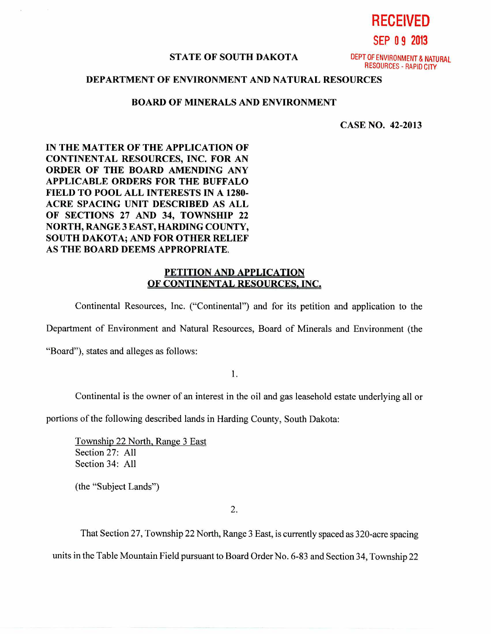**RECEIVED** 

**SEP 0 9 2013** 

#### **STATE OF SOUTH DAKOTA** DEPT OF ENVIRONMENT & NATURAL

RESOURCES - RAPID CITY

# **DEPARTMENT OF ENVIRONMENT AND NATURAL RESOURCES**

### **BOARD OF MINERALS AND ENVIRONMENT**

**CASE NO. 42-2013** 

**IN THE MATTER OF THE APPLICATION OF CONTINENTAL RESOURCES, INC. FOR AN ORDER OF THE BOARD AMENDING ANY APPLICABLE ORDERS FOR THE BUFFALO FIELD TO POOL ALL INTERESTS IN A 1280- ACRE SPACING UNIT DESCRIBED AS ALL OF SECTIONS 27 AND 34, TOWNSHIP 22 NORTH, RANGE 3 EAST, HARDING COUNTY, SOUTH DAKOTA; AND FOR OTHER RELIEF AS THE BOARD DEEMS APPROPRIATE.** 

# **PETITION AND APPLICATION OF CONTINENTAL RESOURCES, INC.**

Continental Resources, Inc. ("Continental") and for its petition and application to the

Department of Environment and Natural Resources, Board of Minerals and Environment (the

"Board"), states and alleges as follows:

1.

Continental is the owner of an interest in the oil and gas leasehold estate underlying all or

portions of the following described lands in Harding County, South Dakota:

Township 22 North, Range 3 East Section 27: All Section 34: All

(the "Subject Lands")

2.

That Section 27, Township 22 North, Range 3 East, is currently spaced as 320-acre spacing units in the Table Mountain Field pursuant to Board Order No. 6-83 and Section 34, Township 22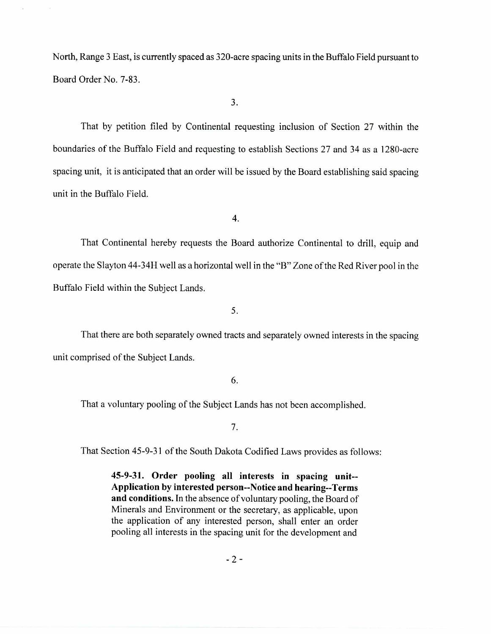North, Range 3 East, is currently spaced as 320-acre spacing units in the Buffalo Field pursuant to Board Order No. 7-83.

3.

That by petition filed by Continental requesting inclusion of Section 27 within the boundaries of the Buffalo Field and requesting to establish Sections 27 and 34 as a 1280-acre spacing unit, it is anticipated that an order will be issued by the Board establishing said spacing unit in the Buffalo Field.

4.

That Continental hereby requests the Board authorize Continental to drill, equip and operate the Slayton 44-34H well as a horizontal well in the "B" Zone of the Red River pool in the Buffalo Field within the Subject Lands.

5.

That there are both separately owned tracts and separately owned interests in the spacing unit comprised of the Subject Lands.

6.

That a voluntary pooling of the Subject Lands has not been accomplished.

7.

That Section 45-9-31 of the South Dakota Codified Laws provides as follows:

**45-9-31. Order pooling all interests in spacing unit-- Application by interested person--Notice and hearing--Terms and conditions.** In the absence of voluntary pooling, the Board of Minerals and Environment or the secretary, as applicable, upon the application of any interested person, shall enter an order pooling all interests in the spacing unit for the development and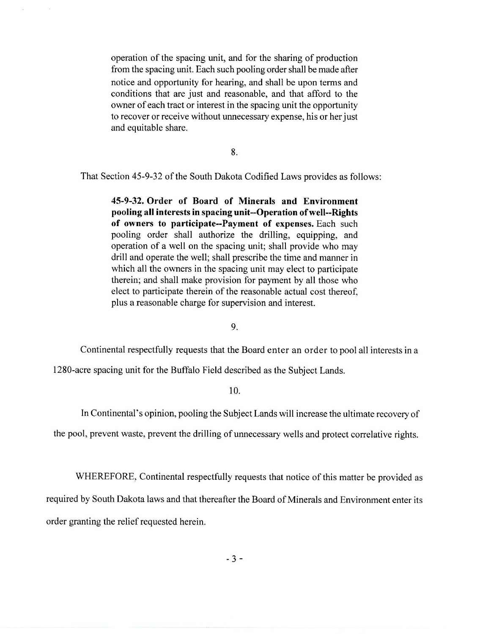operation of the spacing unit, and for the sharing of production from the spacing unit. Each such pooling order shall be made after notice and opportunity for hearing, and shall be upon terms and conditions that are just and reasonable, and that afford to the owner of each tract or interest in the spacing unit the opportunity to recover or receive without unnecessary expense, his or her just and equitable share.

8.

That Section 45-9-32 of the South Dakota Codified Laws provides as follows:

**45-9-32. Order of Board of Minerals and Environment pooling all interests in spacing unit--Operation of well--Rights of owners to participate--Payment of expenses.** Each such pooling order shall authorize the drilling, equipping, and operation of a well on the spacing unit; shall provide who may drill and operate the well; shall prescribe the time and manner in which all the owners in the spacing unit may elect to participate therein; and shall make provision for payment by all those who elect to participate therein of the reasonable actual cost thereof, plus a reasonable charge for supervision and interest.

9.

Continental respectfully requests that the Board enter an order to pool all interests in a

1280-acre spacing unit for the Buffalo Field described as the Subject Lands.

# 10.

In Continental's opinion, pooling the Subject Lands will increase the ultimate recovery of

the pool, prevent waste, prevent the drilling of unnecessary wells and protect correlative rights.

WHEREFORE, Continental respectfully requests that notice of this matter be provided as required by South Dakota laws and that thereafter the Board of Minerals and Environment enter its order granting the relief requested herein.